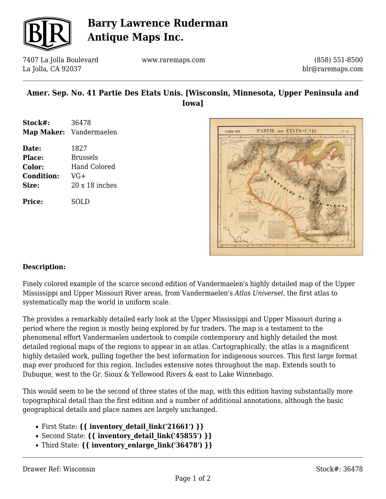

# **Barry Lawrence Ruderman Antique Maps Inc.**

7407 La Jolla Boulevard La Jolla, CA 92037

www.raremaps.com

(858) 551-8500 blr@raremaps.com

## **Amer. Sep. No. 41 Partie Des Etats Unis. [Wisconsin, Minnesota, Upper Peninsula and Iowa]**

| Stock#: | 36478                   |
|---------|-------------------------|
|         | Map Maker: Vandermaelen |

**Date:** 1827 **Place:** Brussels **Color:** Hand Colored **Condition:** VG+ **Size:** 20 x 18 inches **Price:** SOLD



#### **Description:**

Finely colored example of the scarce second edition of Vandermaelen's highly detailed map of the Upper Mississippi and Upper Missouri River areas, from Vandermaelen's *Atlas Universel*, the first atlas to systematically map the world in uniform scale.

The provides a remarkably detailed early look at the Upper Mississippi and Upper Missouri during a period where the region is mostly being explored by fur traders. The map is a testament to the phenomenal effort Vandermaelen undertook to compile contemporary and highly detailed the most detailed regional maps of the regions to appear in an atlas. Cartographically, the atlas is a magnificent highly detailed work, pulling together the best information for indigenous sources. This first large format map ever produced for this region. Includes extensive notes throughout the map. Extends south to Dubuque, west to the Gr. Sioux & Yellowood Rivers & east to Lake Winnebago.

This would seem to be the second of three states of the map, with this edition having substantially more topographical detail than the first edition and a number of additional annotations, although the basic geographical details and place names are largely unchanged.

- First State: **{{ inventory\_detail\_link('21661') }}**
- Second State: **{{ inventory\_detail\_link('45855') }}**
- Third State: **{{ inventory\_enlarge\_link('36478') }}**